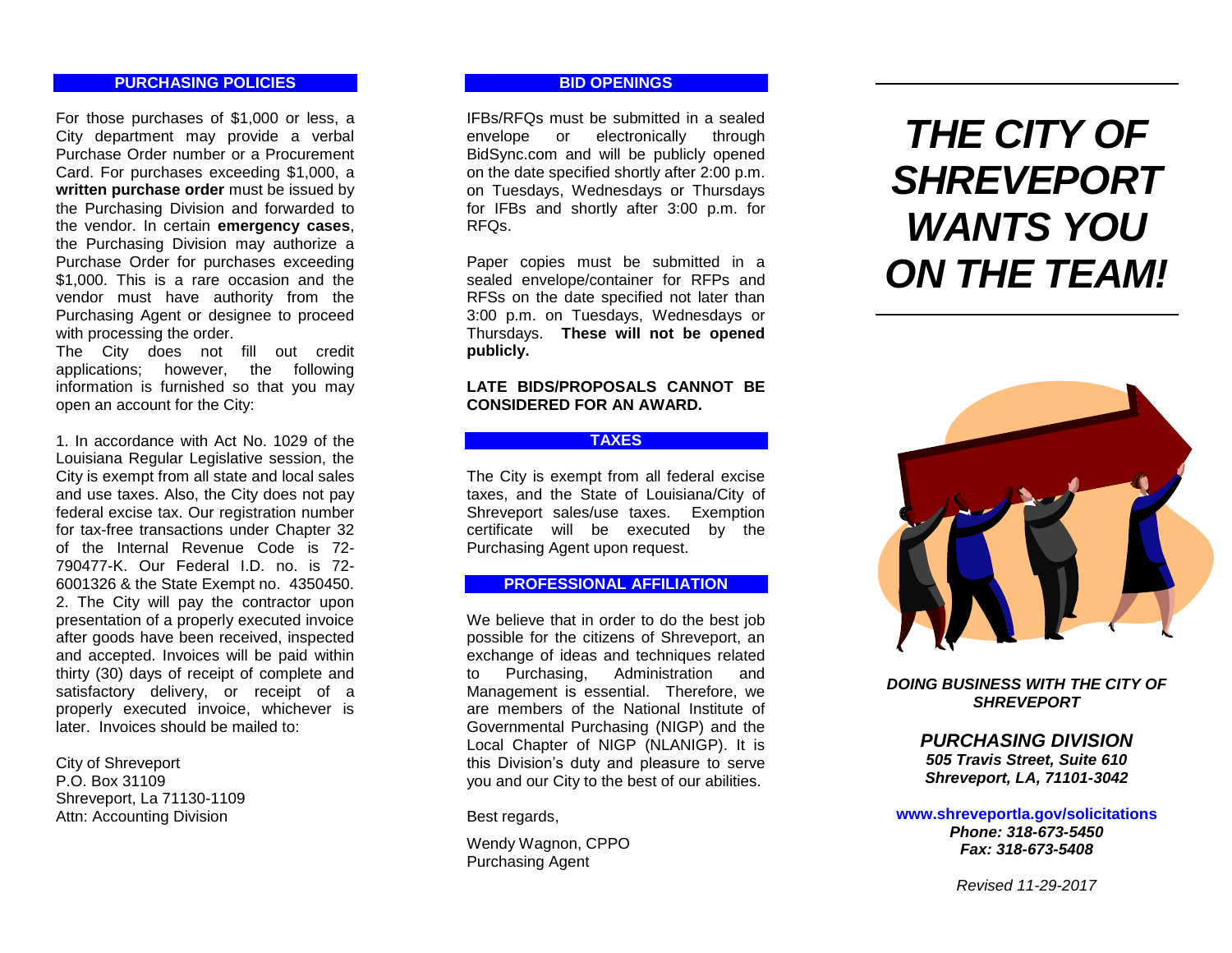# **PURCHASING POLICIES**

For those purchases of \$1,000 or less, a City department may provide a verbal Purchase Order number or a Procurement Card. For purchases exceeding \$1,000, a **written purchase order** must be issued by the Purchasing Division and forwarded to the vendor. In certain **emergency cases**, the Purchasing Division may authorize a<br>Purchase Order for purchases exceeding  $$1.000$ . This is a rare occasion and the vendor must have authority from the Purchasing Agent or designee to proceed with processing the order.

The City does not fill out credit applications; however, the following information is furnished so that you may open an account for the City:

1. In accordance with Act No. 1029 of the Louisiana Regular Legislative session, the City is exempt from all state and local sales and use taxes. Also, the City does not pay federal excise tax. Our registration number for tax -free transactions under Chapter 32 of the Internal Revenue Code is 72 - 790477 -K. Our Federal I.D. no. is 72 - 6001326 & the State Exempt no . 4350450. 2. The City will pay the contractor upon presentation of a properly executed invoice after goods have been received, inspected and accepted. Invoices will be paid within thirty (30) days of receipt of complete and satisfactory delivery, or receipt of a properly executed invoice, whichever is later. Invoices should be mailed to:

City of Shreveport P.O. Box 31109 Shreveport, La 71130 -1109 Attn: Accounting Division

# **BID OPENINGS**

IFBs/RFQs must be submitted in a sealed envelope or electronically through BidSync.com and will be publicly opened on the date specified shortly after 2:00 p.m. on Tuesdays, Wednesdays or Thursdays for IFBs and shortly after 3:00 p.m. for RFQs.

Paper copies must be submitted in a sealed envelope/container for RFPs and RFSs on the date specified not later than 3:00 p.m. on Tuesdays, Wednesdays or Thursdays. **These will not be opened publicly.**

# **LATE BIDS/PROPOSALS CANNOT BE CONSIDERED FOR AN AWARD.**

# **TAXES**

The City is exempt from all federal excise taxes, and the State of Louisiana/City of Shreveport sales/use taxes. Exemption certificate will be executed by the Purchasing Agent upon request.

# **PROFESSIONAL AFFILIATION**

We believe that in order to do the best job possible for the citizens of Shreveport, an exchange of ideas and techniques related to Purchasing, Administration and Management is essential. Therefore, we are members of the National Institute of Governmental Purchasing (NIGP) and the Local Chapter of NIGP (NLANIGP). It is this Division's duty and pleasure to serve you and our City to the best of our abilities.

Best regards,

Wendy Wagnon, CPPO Purchasing Agent

# *THE CITY OF SHREVEPORT WANTS YOU ON THE TEAM!*



*DOING BUSINESS WITH THE CITY OF SHREVEPORT*

# *PURCHASING DIVISION*

*505 Travis Street, Suite 610 Shreveport, LA, 71101 -3042*

**www.shreveportla.gov/solicitations** *Phone: 318 -673 -5450 Fax: 318 -673 -5408*

*Revised 11 - 2 9 -201 7*